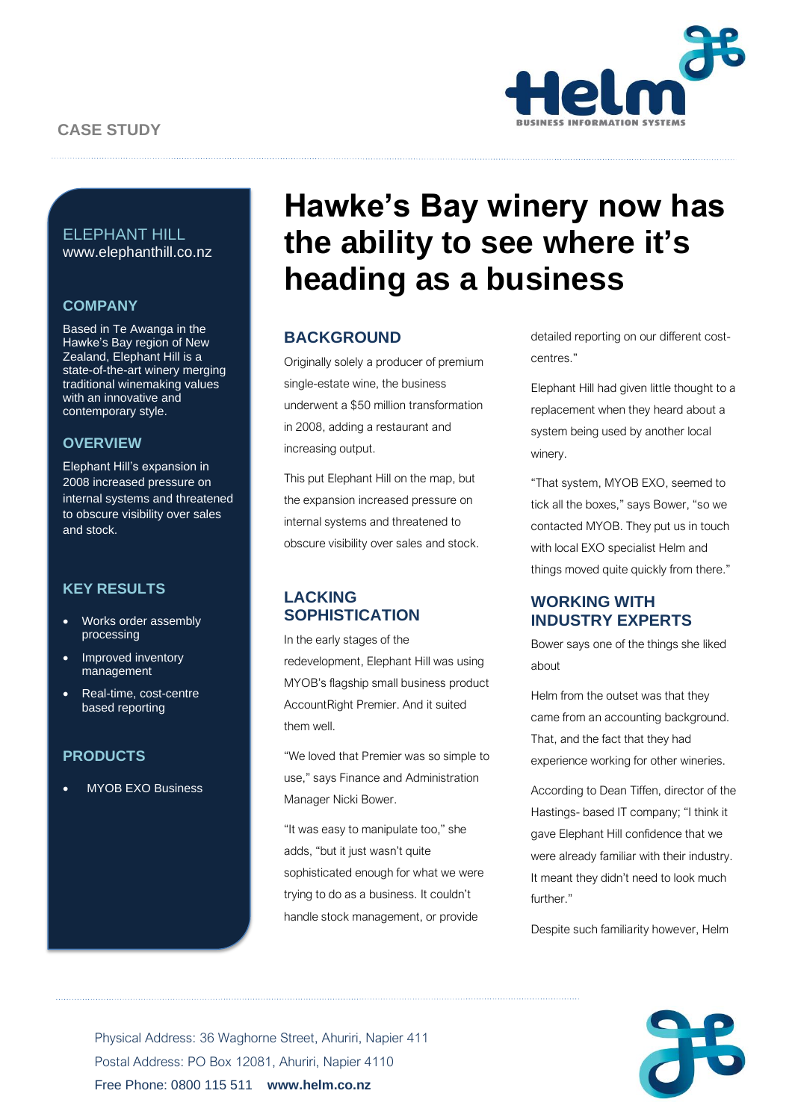

# ELEPHANT HILL www.elephanthill.co.nz

## **COMPANY**

Based in Te Awanga in the Hawke's Bay region of New Zealand, Elephant Hill is a state-of-the-art winery merging traditional winemaking values with an innovative and contemporary style.

## **OVERVIEW**

Elephant Hill's expansion in 2008 increased pressure on internal systems and threatened to obscure visibility over sales and stock.

# **KEY RESULTS**

- Works order assembly processing
- Improved inventory management
- Real-time, cost-centre based reporting

# **PRODUCTS**

• MYOB EXO Business

# **Hawke's Bay winery now has the ability to see where it's heading as a business**

# **BACKGROUND**

Originally solely a producer of premium single-estate wine, the business underwent a \$50 million transformation in 2008, adding a restaurant and increasing output.

This put Elephant Hill on the map, but the expansion increased pressure on internal systems and threatened to obscure visibility over sales and stock.

# **LACKING SOPHISTICATION**

In the early stages of the redevelopment, Elephant Hill was using MYOB's flagship small business product AccountRight Premier. And it suited them well.

"We loved that Premier was so simple to use," says Finance and Administration Manager Nicki Bower.

"It was easy to manipulate too," she adds, "but it just wasn't quite sophisticated enough for what we were trying to do as a business. It couldn't handle stock management, or provide

detailed reporting on our different costcentres."

Elephant Hill had given little thought to a replacement when they heard about a system being used by another local winery.

"That system, MYOB EXO, seemed to tick all the boxes," says Bower, "so we contacted MYOB. They put us in touch with local EXO specialist Helm and things moved quite quickly from there."

# **WORKING WITH INDUSTRY EXPERTS**

Bower says one of the things she liked about

Helm from the outset was that they came from an accounting background. That, and the fact that they had experience working for other wineries.

According to Dean Tiffen, director of the Hastings- based IT company; "I think it gave Elephant Hill confidence that we were already familiar with their industry. It meant they didn't need to look much further."

Despite such familiarity however, Helm



Physical Address: 36 Waghorne Street, Ahuriri, Napier 411 Postal Address: PO Box 12081, Ahuriri, Napier 4110 Free Phone: 0800 115 511 **www.helm.co.nz**